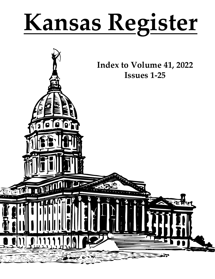# **Kansas Register**

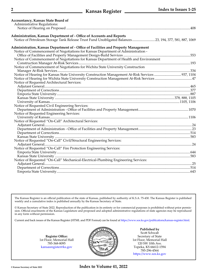| <b>Accountancy, Kansas State Board of</b>                                                                                                                                      |  |
|--------------------------------------------------------------------------------------------------------------------------------------------------------------------------------|--|
| Administrative Regulations:                                                                                                                                                    |  |
|                                                                                                                                                                                |  |
|                                                                                                                                                                                |  |
| Administration, Kansas Department of - Office of Accounts and Reports<br>Notice of Petroleum Storage Tank Release Trust Fund Unobligated Balances 23, 194, 377, 581, 887, 1069 |  |
|                                                                                                                                                                                |  |
| Administration, Kansas Department of - Office of Facilities and Property Management                                                                                            |  |
| Notice of Commencement of Negotiations for Kansas Department of Administration -                                                                                               |  |
|                                                                                                                                                                                |  |
| Notice of Commencement of Negotiations for Kansas Department of Health and Environment                                                                                         |  |
|                                                                                                                                                                                |  |
| Notice of Commencement of Negotiations for Wichita State University Construction                                                                                               |  |
|                                                                                                                                                                                |  |
|                                                                                                                                                                                |  |
|                                                                                                                                                                                |  |
| Notice of Requested Architectural Services:                                                                                                                                    |  |
|                                                                                                                                                                                |  |
|                                                                                                                                                                                |  |
|                                                                                                                                                                                |  |
|                                                                                                                                                                                |  |
|                                                                                                                                                                                |  |
| Notice of Requested Civil Engineering Services:                                                                                                                                |  |
|                                                                                                                                                                                |  |
| Notice of Requested Engineering Services:                                                                                                                                      |  |
|                                                                                                                                                                                |  |
| Notice of Requested "On-Call" Architectural Services:                                                                                                                          |  |
|                                                                                                                                                                                |  |
|                                                                                                                                                                                |  |
|                                                                                                                                                                                |  |
|                                                                                                                                                                                |  |
| Notice of Requested "On-Call" Civil/Structural Engineering Services:                                                                                                           |  |
|                                                                                                                                                                                |  |
| Notice of Requested "On-Call" Fire Protection Engineering Services:                                                                                                            |  |
|                                                                                                                                                                                |  |
|                                                                                                                                                                                |  |
| Notice of Requested "On-Call" Mechanical-Electrical-Plumbing Engineering Services:                                                                                             |  |
|                                                                                                                                                                                |  |
|                                                                                                                                                                                |  |
|                                                                                                                                                                                |  |
|                                                                                                                                                                                |  |

The Kansas Register is an official publication of the state of Kansas, published by authority of K.S.A. 75-430. The Kansas Register is published weekly and a cumulative index is published annually by the Kansas Secretary of State.

© Kansas Secretary of State 2022. Reproduction of the publication in its entirety or for commercial purposes is prohibited without prior permission. Official enactments of the Kansas Legislature and proposed and adopted administrative regulations of state agencies may be reproduced in any form without permission.

Current and back issues of the Kansas Register (HTML and PDF Format) can be found at<https://www.sos.ks.gov/publications/kansas-register.html>.

**Register Office:** 1st Floor, Memorial Hall 785-368-8095 [kansasregister@ks.gov](mailto:kansasregister%40ks.gov?subject=)



**Published by** Scott Schwab Secretary of State 1st Floor, Memorial Hall 120 SW 10th Ave. Topeka, KS 66612-1594 785-296-4564 <https://www.sos.ks.gov>

**© Kansas Secretary of State 2022 Index to Volume 41, 2022**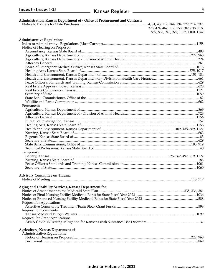### Administration, Kansas Department of - Office of Procurement and Contracts

378, 424, 467, 512, 555, 582, 638, 718, 859, 888, 942, 979, 1027, 1100, 1142

| <b>Administrative Regulations</b>                    |  |
|------------------------------------------------------|--|
|                                                      |  |
| Notice of Hearing on Proposed:                       |  |
|                                                      |  |
|                                                      |  |
|                                                      |  |
|                                                      |  |
|                                                      |  |
|                                                      |  |
|                                                      |  |
|                                                      |  |
|                                                      |  |
|                                                      |  |
|                                                      |  |
|                                                      |  |
|                                                      |  |
|                                                      |  |
| Permanent:                                           |  |
|                                                      |  |
|                                                      |  |
|                                                      |  |
|                                                      |  |
|                                                      |  |
|                                                      |  |
|                                                      |  |
|                                                      |  |
|                                                      |  |
|                                                      |  |
|                                                      |  |
| Temporary:                                           |  |
|                                                      |  |
|                                                      |  |
|                                                      |  |
|                                                      |  |
|                                                      |  |
| <b>Advisory Committee on Trauma</b>                  |  |
|                                                      |  |
|                                                      |  |
| Aging and Disability Services, Kansas Department for |  |
|                                                      |  |
|                                                      |  |
|                                                      |  |
| Request for Applications:                            |  |
|                                                      |  |
| Request for Comments:                                |  |
|                                                      |  |
| Request for Grant Applications:                      |  |
|                                                      |  |
| <b>Agriculture, Kansas Department of</b>             |  |
| Administrative Regulations:                          |  |
|                                                      |  |
|                                                      |  |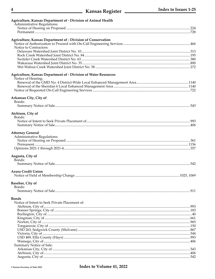| 4                                                                                            | ______ Kansas Register _______ | Index to Issues 1-25 |
|----------------------------------------------------------------------------------------------|--------------------------------|----------------------|
| Agriculture, Kansas Department of - Division of Animal Health<br>Administrative Regulations: |                                |                      |
|                                                                                              |                                |                      |
| Agriculture, Kansas Department of - Division of Conservation                                 |                                |                      |
| Notice to Contractors:                                                                       |                                |                      |
|                                                                                              |                                |                      |
|                                                                                              |                                |                      |
|                                                                                              |                                |                      |
| Agriculture, Kansas Department of - Division of Water Resources<br>Notice of Hearing:        |                                |                      |
|                                                                                              |                                |                      |
|                                                                                              |                                |                      |
|                                                                                              |                                |                      |
| Arkansas City, City of<br>Bonds:                                                             |                                |                      |
|                                                                                              |                                |                      |
| Atchison, City of<br>Bonds:                                                                  |                                |                      |
|                                                                                              |                                |                      |
|                                                                                              |                                |                      |
| <b>Attorney General</b>                                                                      |                                |                      |
| Administrative Regulations:                                                                  |                                |                      |
|                                                                                              |                                |                      |
|                                                                                              |                                |                      |
| Augusta, City of<br>Bonds:                                                                   |                                |                      |
|                                                                                              |                                | 542                  |
| <b>Azura Credit Union</b>                                                                    |                                |                      |
|                                                                                              |                                |                      |
| <b>Basehor, City of</b><br>Bonds:                                                            |                                |                      |
|                                                                                              |                                |                      |
| <b>Bonds</b>                                                                                 |                                |                      |
| Notice of Intent to Seek Private Placement of:                                               |                                |                      |
|                                                                                              |                                |                      |
|                                                                                              |                                |                      |
|                                                                                              |                                |                      |
|                                                                                              |                                |                      |
|                                                                                              |                                |                      |
|                                                                                              |                                |                      |
|                                                                                              |                                |                      |
| Summary Notice of Sale:                                                                      |                                |                      |
|                                                                                              |                                |                      |
|                                                                                              |                                |                      |
|                                                                                              |                                |                      |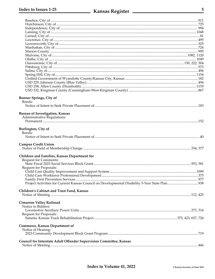## **Kansas Register Mansas Register**

| <b>Bonner Springs, City of</b><br>Bonds:<br><b>Bureau of Investigation, Kansas</b> |  |
|------------------------------------------------------------------------------------|--|
| Administrative Regulations:                                                        |  |
|                                                                                    |  |
| <b>Burlington, City of</b><br>Bonds:                                               |  |
| <b>Campus Credit Union</b>                                                         |  |
| Children and Families, Kansas Department for                                       |  |
| <b>Request for Comments:</b>                                                       |  |
|                                                                                    |  |
| Request for Proposals:                                                             |  |
|                                                                                    |  |
|                                                                                    |  |
|                                                                                    |  |
|                                                                                    |  |
| Children's Cabinet and Trust Fund, Kansas                                          |  |
| <b>Cimarron Valley Railroad</b><br>Notice to Bidders:                              |  |
|                                                                                    |  |
| Request for Proposals:                                                             |  |
|                                                                                    |  |
| <b>Commerce, Kansas Department of</b>                                              |  |
| Notice of Hearing:                                                                 |  |
|                                                                                    |  |
| Council for Interstate Adult Offender Supervision Committee, Kansas                |  |
|                                                                                    |  |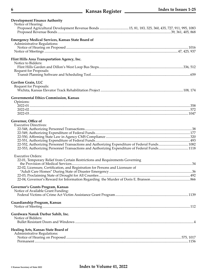| <b>Development Finance Authority</b>                                                            |  |
|-------------------------------------------------------------------------------------------------|--|
| Notice of Hearing:                                                                              |  |
| Proposed Agricultural Development Revenue Bonds 15, 81, 183, 325, 360, 435, 727, 911, 995, 1083 |  |
|                                                                                                 |  |
|                                                                                                 |  |
| <b>Emergency Medical Services, Kansas State Board of</b>                                        |  |
| Administrative Regulations:                                                                     |  |
|                                                                                                 |  |
|                                                                                                 |  |
|                                                                                                 |  |
| Flint Hills Area Transportation Agency, Inc.                                                    |  |
| Notice to Bidders:                                                                              |  |
|                                                                                                 |  |
| Request for Proposals:                                                                          |  |
|                                                                                                 |  |
|                                                                                                 |  |
| Gavilon Grain, LLC                                                                              |  |
| Request for Proposals:                                                                          |  |
|                                                                                                 |  |
| Governmental Ethics Commission, Kansas                                                          |  |
|                                                                                                 |  |
| Opinions:                                                                                       |  |
|                                                                                                 |  |
|                                                                                                 |  |
|                                                                                                 |  |
|                                                                                                 |  |
| Governor, Office of                                                                             |  |
| <b>Executive Directives:</b>                                                                    |  |
|                                                                                                 |  |
|                                                                                                 |  |
|                                                                                                 |  |
|                                                                                                 |  |
| 22-552, Authorizing Personnel Transactions and Authorizing Expenditure of Federal Funds 1082    |  |
| 22-553, Authorizing Personnel Transactions and Authorizing Expenditure of Federal Funds1118     |  |
|                                                                                                 |  |
| <b>Executive Orders:</b>                                                                        |  |
| 22-01, Temporary Relief from Certain Restrictions and Requirements Governing                    |  |
|                                                                                                 |  |
| 22-02, Licensure, Certification, and Registration for Persons and Licensure of                  |  |
|                                                                                                 |  |
|                                                                                                 |  |
|                                                                                                 |  |
|                                                                                                 |  |
| Governor's Grants Program, Kansas                                                               |  |
| Notice of Available Grant Funding:                                                              |  |
|                                                                                                 |  |
| Guardianship Program, Kansas                                                                    |  |
|                                                                                                 |  |
|                                                                                                 |  |
| Gurdwara Nanak Darbar Sahib, Inc.                                                               |  |
| Notice of Bidders:                                                                              |  |
|                                                                                                 |  |
|                                                                                                 |  |
| Healing Arts, Kansas State Board of                                                             |  |
| Administrative Regulations:                                                                     |  |
|                                                                                                 |  |
|                                                                                                 |  |
|                                                                                                 |  |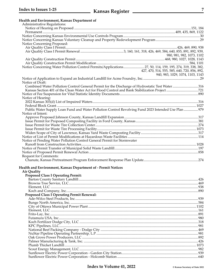| Health and Environment, Kansas Department of<br>Administrative Regulations:                                               |                                                                                  |
|---------------------------------------------------------------------------------------------------------------------------|----------------------------------------------------------------------------------|
|                                                                                                                           |                                                                                  |
|                                                                                                                           |                                                                                  |
|                                                                                                                           |                                                                                  |
| Notice Concerning Proposed:                                                                                               |                                                                                  |
|                                                                                                                           |                                                                                  |
|                                                                                                                           |                                                                                  |
|                                                                                                                           | 980, 981, 982, 1073, 1102                                                        |
|                                                                                                                           |                                                                                  |
|                                                                                                                           |                                                                                  |
| Notice Concerning Water Pollution Control Permits/Applications 27, 50, 114, 159, 195, 274, 319, 338, 382,                 |                                                                                  |
|                                                                                                                           | 427, 470, 514, 555, 585, 640, 720, 856, 892,<br>940, 983, 1029, 1074, 1103, 1143 |
|                                                                                                                           |                                                                                  |
| Notice of Draft:                                                                                                          |                                                                                  |
| Combined Water Pollution Control General Permit for the Discharge of Hydrostatic Test Water316                            |                                                                                  |
|                                                                                                                           |                                                                                  |
|                                                                                                                           |                                                                                  |
| Notice of Hearing:                                                                                                        |                                                                                  |
|                                                                                                                           |                                                                                  |
|                                                                                                                           |                                                                                  |
| Public Water Supply Loan Fund and Water Pollution Control Revolving Fund 2023 Intended Use Plan  979<br>Notice of Intent: |                                                                                  |
|                                                                                                                           |                                                                                  |
|                                                                                                                           |                                                                                  |
|                                                                                                                           |                                                                                  |
|                                                                                                                           |                                                                                  |
|                                                                                                                           |                                                                                  |
|                                                                                                                           |                                                                                  |
| Notice of Pending Water Pollution Control General Permit for Stormwater                                                   |                                                                                  |
|                                                                                                                           |                                                                                  |
|                                                                                                                           |                                                                                  |
| Request for Comments:                                                                                                     |                                                                                  |
|                                                                                                                           |                                                                                  |
|                                                                                                                           |                                                                                  |
| Health and Environment, Kansas Department of - Permit Notices                                                             |                                                                                  |
| <b>Air Quality</b>                                                                                                        |                                                                                  |
| <b>Proposed Class I Operating Permit:</b>                                                                                 |                                                                                  |
|                                                                                                                           |                                                                                  |
|                                                                                                                           |                                                                                  |
|                                                                                                                           |                                                                                  |
| <b>Proposed Class I Operating Permit Renewal:</b>                                                                         |                                                                                  |
|                                                                                                                           |                                                                                  |
|                                                                                                                           |                                                                                  |
|                                                                                                                           |                                                                                  |
|                                                                                                                           |                                                                                  |
|                                                                                                                           |                                                                                  |
|                                                                                                                           |                                                                                  |
|                                                                                                                           |                                                                                  |
|                                                                                                                           |                                                                                  |
|                                                                                                                           |                                                                                  |
|                                                                                                                           |                                                                                  |
|                                                                                                                           |                                                                                  |
|                                                                                                                           |                                                                                  |
|                                                                                                                           |                                                                                  |
|                                                                                                                           |                                                                                  |
|                                                                                                                           |                                                                                  |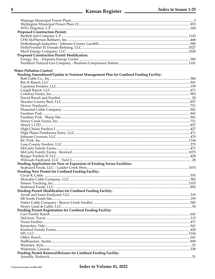# **Kansas Register Mansuranger Kansas Register**

| <b>Proposed Construction Permit:</b>                                                |  |
|-------------------------------------------------------------------------------------|--|
|                                                                                     |  |
|                                                                                     |  |
|                                                                                     |  |
|                                                                                     |  |
|                                                                                     |  |
| <b>Proposed Construction Permit Modification:</b>                                   |  |
|                                                                                     |  |
|                                                                                     |  |
| <b>Water Pollution Control</b>                                                      |  |
| Pending Amendment/Update to Nutrient Management Plan for Confined Feeding Facility: |  |
|                                                                                     |  |
|                                                                                     |  |
|                                                                                     |  |
|                                                                                     |  |
|                                                                                     |  |
|                                                                                     |  |
|                                                                                     |  |
|                                                                                     |  |
|                                                                                     |  |
|                                                                                     |  |
|                                                                                     |  |
|                                                                                     |  |
|                                                                                     |  |
|                                                                                     |  |
|                                                                                     |  |
|                                                                                     |  |
|                                                                                     |  |
|                                                                                     |  |
|                                                                                     |  |
|                                                                                     |  |
|                                                                                     |  |
|                                                                                     |  |
| Pending Application for New or Expansion of Existing Swine Facilities:              |  |
|                                                                                     |  |
| Pending New Permit for Confined Feeding Facility:                                   |  |
|                                                                                     |  |
|                                                                                     |  |
|                                                                                     |  |
|                                                                                     |  |
| Pending Permit Modification for Confined Feeding Facility:                          |  |
|                                                                                     |  |
|                                                                                     |  |
|                                                                                     |  |
|                                                                                     |  |
| Pending Permit Registration for Confined Feeding Facility:                          |  |
|                                                                                     |  |
|                                                                                     |  |
|                                                                                     |  |
|                                                                                     |  |
|                                                                                     |  |
|                                                                                     |  |
|                                                                                     |  |
|                                                                                     |  |
|                                                                                     |  |
|                                                                                     |  |
| Pending Permit Renewal/Reissue for Confined Feeding Facility:                       |  |
|                                                                                     |  |

 $\bf 8$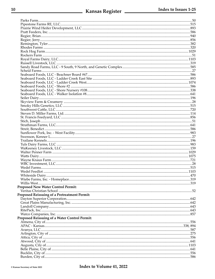| Proposed New Water Control Permit:                   |  |
|------------------------------------------------------|--|
|                                                      |  |
| Proposed Reissuing of a Pretreatment Permit:         |  |
|                                                      |  |
|                                                      |  |
|                                                      |  |
|                                                      |  |
|                                                      |  |
| <b>Proposed Reissuing of a Water Control Permit:</b> |  |
|                                                      |  |
|                                                      |  |
|                                                      |  |
|                                                      |  |
|                                                      |  |
|                                                      |  |
|                                                      |  |
|                                                      |  |
|                                                      |  |
|                                                      |  |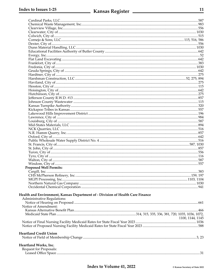| <b>Proposed Well Permits:</b>                                                  |                  |
|--------------------------------------------------------------------------------|------------------|
|                                                                                |                  |
|                                                                                |                  |
|                                                                                | 159, 197         |
|                                                                                |                  |
|                                                                                |                  |
|                                                                                |                  |
|                                                                                |                  |
| Health and Environment, Kansas Department of - Division of Health Care Finance |                  |
| Administrative Regulations:                                                    |                  |
|                                                                                |                  |
| Notice of Amendment:                                                           |                  |
|                                                                                |                  |
|                                                                                |                  |
|                                                                                | 1100, 1144, 1145 |
|                                                                                |                  |
|                                                                                |                  |
|                                                                                |                  |
| <b>Heartland Credit Union</b>                                                  |                  |
|                                                                                |                  |
|                                                                                |                  |
| Heartland Works, Inc.                                                          |                  |
| Request for Proposals:                                                         |                  |
|                                                                                |                  |
|                                                                                |                  |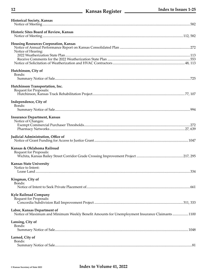| <b>Historical Society, Kansas</b>                                                                                              |  |
|--------------------------------------------------------------------------------------------------------------------------------|--|
| Historic Sites Board of Review, Kansas                                                                                         |  |
|                                                                                                                                |  |
| <b>Housing Resources Corporation, Kansas</b>                                                                                   |  |
| Notice of Hearing:                                                                                                             |  |
|                                                                                                                                |  |
|                                                                                                                                |  |
| Hutchinson, City of<br>Bonds:                                                                                                  |  |
|                                                                                                                                |  |
| Hutchinson Transportation, Inc.                                                                                                |  |
| Request for Proposals:                                                                                                         |  |
| Independence, City of                                                                                                          |  |
| Bonds:                                                                                                                         |  |
|                                                                                                                                |  |
| <b>Insurance Department, Kansas</b><br>Notice of Changes:                                                                      |  |
|                                                                                                                                |  |
|                                                                                                                                |  |
| Judicial Administration, Office of                                                                                             |  |
| Kansas & Oklahoma Railroad                                                                                                     |  |
| Request for Proposals:                                                                                                         |  |
| <b>Kansas State University</b>                                                                                                 |  |
| Notice to Intent:                                                                                                              |  |
|                                                                                                                                |  |
| Kingman, City of<br>Bonds:                                                                                                     |  |
|                                                                                                                                |  |
| <b>Kyle Railroad Company</b>                                                                                                   |  |
| Request for Proposals:                                                                                                         |  |
| Labor, Kansas Department of<br>Notice of Maximum and Minimum Weekly Benefit Amounts for Unemployment Insurance Claimants  1100 |  |
| Lansing, City of                                                                                                               |  |
| Bonds:                                                                                                                         |  |
|                                                                                                                                |  |
| Larned, City of                                                                                                                |  |
| Bonds:                                                                                                                         |  |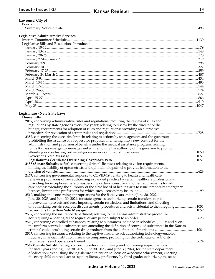| Lawrence, City of                                                                              |      |
|------------------------------------------------------------------------------------------------|------|
| Bonds:                                                                                         |      |
|                                                                                                |      |
|                                                                                                |      |
| Legislative Administrative Services                                                            |      |
|                                                                                                |      |
| Legislative Bills and Resolutions Introduced:                                                  |      |
|                                                                                                |      |
|                                                                                                |      |
|                                                                                                |      |
|                                                                                                |      |
|                                                                                                |      |
|                                                                                                |      |
|                                                                                                |      |
|                                                                                                |      |
|                                                                                                |      |
|                                                                                                |      |
|                                                                                                |      |
|                                                                                                |      |
|                                                                                                |      |
|                                                                                                |      |
|                                                                                                |      |
|                                                                                                |      |
|                                                                                                |      |
| Legislature - New State Laws<br><b>House Bills</b>                                             |      |
| 2087, concerning administrative rules and regulations; requiring the review of rules and       |      |
|                                                                                                |      |
| regulations by state agencies every five years; relating to review by the director of the      |      |
| budget; requirements for adoption of rules and regulations; providing an alternative           |      |
|                                                                                                |      |
| 2387, concerning the executive branch; relating to actions by state agencies and the governor; |      |
| prohibiting the issuance of a request for proposal or entering into a new contract for the     |      |
| administration and provision of benefits under the medical assistance program; relating        |      |
| to the Kansas emergency management act; removing the authority of the governor to prohibit     |      |
| attending or conducting certain religious services and worship services                        | 1050 |

| to the Kansas emergency management act; removing the authority of the governor to promote               |       |
|---------------------------------------------------------------------------------------------------------|-------|
|                                                                                                         |       |
|                                                                                                         | .1051 |
|                                                                                                         | .1051 |
| 2458 (Senate Substitute for), concerning driver's licenses; relating to vision requirements;            |       |
| limiting the liability of optometrists and ophthalmologists who provide information to the              |       |
|                                                                                                         | 623   |
| 2477, concerning governmental response to COVID-19; relating to health and healthcare;                  |       |
| renewing provisions of law authorizing expanded practice by certain healthcare professionals;           |       |
| providing for exceptions thereto; suspending certain licensure and other requirements for adult         |       |
| care homes; extending the authority of the state board of healing arts to issue temporary emergency     |       |
|                                                                                                         | 99    |
| 2510, making and concerning appropriations for the fiscal years ending June 30, 2022,                   |       |
| June 30, 2023, and June 30, 2024, for state agencies; authorizing certain transfers, capital            |       |
| improvement projects and fees, imposing certain restrictions and limitations, and directing             |       |
| or authorizing certain receipts, disbursements, procedures and acts incidental to the foregoing         | 1051  |
|                                                                                                         | 1059  |
| 2537, concerning the insurance department; relating to the Kansas administrative procedure              |       |
|                                                                                                         | .623  |
| 2540, concerning controlled substances; relating to substances included in schedules I, II, IV and V on |       |
| the uniform controlled substances act; amending the definition of controlled substances in the Kansas   |       |
|                                                                                                         | 1084  |
| 2547, concerning insurance; relating to the captive insurance act; authorizing technology-enabled       |       |
| fiduciary financial institution insurance companies; providing for the certificate of authority,        |       |
|                                                                                                         | 624   |
|                                                                                                         |       |

**2567 (Senate Substitute for),** concerning education; making and concerning appropriations for fiscal years ending June 30, 2022, June 30, 2023, and June 30, 2024, for the state department of education; establishing the legislature's intention to focus on academic achievement; enacting the every child can read act to support literacy proficiency by third grade; authorizing the state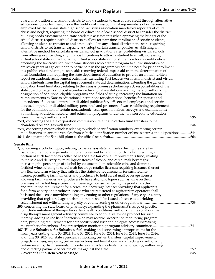board of education and school districts to allow students to earn course credit through alternative educational opportunities outside the traditional classroom; making members of or persons employed by the Kansas state high school activities association mandatory reporters of child abuse and neglect; requiring the board of education of each school district to consider the district building needs assessment and state academic assessments when approving the budget of the school district; requiring school districts to allow for part-time enrollment of certain students; allowing students to transfer to and attend school in any school district in the state; requiring school districts to set transfer capacity and adopt certain transfer policies; establishing an alternative method for calculating virtual school graduation rates; prohibiting virtual schools from offering or providing any financial incentives to attract a student to enroll; increasing virtual school state aid; authorizing virtual school state aid for students who are credit deficient; amending the tax credit for low income students scholarship program to allow students who are seven years of age or under to participate in the program without the need for prior enrollment in a public school; relating to state aid; removing federal impact aid from the determination of local foundation aid; requiring the state department of education to provide an annual written report on academic achievement outcomes; excluding Fort Leavenworth school district and virtual school students from the capital improvement state aid determination; extending the general obligation bond limitation; relating to the Kansas promise scholarship act; responsibilities of the state board of regents and postsecondary educational institutions relating thereto; authorizing designation of additional eligible programs and fields of study; increasing the limitation on reimbursements to Kansas educational institutions for educational benefits for spouses and dependents of deceased, injured or disabled public safety officers and employees and certain deceased, injured or disabled military personnel and prisoners of war; establishing requirements for the administration of certain nonacademic tests, questionnaires, surveys and examinations; authorizing additional research and education programs under the Johnson county education research triangle authority act............................................................................................................................................996 **2591,** concerning the state corporation commission; relating to certain fund transfers to the abandoned oil and gas well fund.......................................................................................................................................544 **2594,** concerning motor vehicles; relating to vehicle identification numbers; exempting certain modifications on antique vehicles from vehicle identification number offense seizures and dispositions............544 **2644,** designating the Sandhill plum as the official state fruit...........................................................................................666

#### **Senate Bills**

| 2, concerning alcoholic liquor; relating to the Kansas state fair; sales during the state fair; |     |
|-------------------------------------------------------------------------------------------------|-----|
| issuance of temporary permits; liquor enforcement tax and liquor drink tax; crediting a         |     |
| portion of such tax moneys collected to the state fair capital improvements fund; relating      |     |
| to the sale and delivery by retail liquor stores of alcohol and cereal malt beverages;          |     |
| increasing the percentage of alcohol by volume in domestic table wine and domestic              |     |
| fortified wine; relating to cereal malt beverage retailer licenses; requiring issuance thereof  |     |
| to a licensed farm winery that satisfies the statutory requirements for such retailer           |     |
| license; permitting farm wineries and producers to hold cereal malt beverage licenses;          |     |
| allowing farm wineries and producers to have alcoholic liquor such as wine on their             |     |
| premises while holding a cereal malt beverage license; removing the good character              |     |
| and reputation requirement for a cereal malt beverage license; providing that applicants        |     |
| for a farm winery or a producer license who are registered as agritourism operators shall       |     |
| be issued the license notwithstanding any zoning or other regulations of any city or county;    |     |
| providing that registered agritourism operators shall be issued a license as a drinking         |     |
| establishment not withstanding any city or county zoning or other regulations                   | 733 |
| 200, concerning the state board of pharmacy; expanding the pharmacist's scope of practice       |     |
| to include initiation of therapy for certain health conditions; authorizing the collaborative   |     |
| drug therapy management advisory committee to adopt a statewide protocol for such               |     |
| therapy; adding to the list of persons who may receive prescription monitoring program          |     |
| data; providing requirements for data security and user and delegate access; increasing         |     |
| the number of members of the prescription monitoring program advisory committee.                | 741 |
| 267 (House Substitute for Substitute for), making and concerning appropriations for the         |     |
| fiscal years ending June 30, 2022, June 30, 2023, June 30, 2024, June 30, 2025, June 30, 2026,  |     |
| and June 30, 2027, for state agencies; authorizing certain transfers, capital improvement       |     |
| projects and fees, imposing certain restrictions and limitations, and directing or authorizing  |     |
| certain receipts, disbursements, procedures and acts incidental to the foregoing; authorizing   |     |
|                                                                                                 | 759 |
|                                                                                                 | 848 |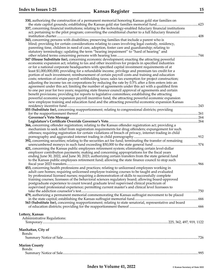# **15 Kansas Register 15**

| 330, authorizing the construction of a permanent memorial honoring Kansas gold star families on             |      |
|-------------------------------------------------------------------------------------------------------------|------|
|                                                                                                             |      |
| 337, concerning financial institutions; relating to the technology-enabled fiduciary financial institutions |      |
| act; pertaining to the pilot program; converting the conditional charter to a full fiduciary financial      |      |
|                                                                                                             | .408 |
| 343, concerning persons with disabilities; preserving families that include a parent who is                 |      |
| blind; providing for certain considerations relating to cases involving legal custody, residency,           |      |
| parenting time, children in need of care, adoption, foster care and guardianship; relating to               |      |
| statutory terminology; updating the term "hearing impairment" to "hard of hearing" and                      | 744  |
| 347 (House Substitute for), concerning economic development; enacting the attracting powerful               |      |
| economic expansion act; relating to tax and other incentives for projects in specified industries           |      |
| or for a national corporate headquarters with specified capital investment requirements of at               |      |
| least \$1,000,000,000; providing for a refundable income, privilege and premium tax credit for a            |      |
| portion of such investment; reimbursement of certain payroll costs and training and education               |      |
| costs; retention of certain payroll withholding taxes; sales tax exemption for project construction;        |      |
| adjusting the income tax on corporations by reducing the rate by 0.5% after a firm enters into an           |      |
| agreement under this act; limiting the number of agreements under this act with a qualified firm            |      |
| to one per year for two years; requiring state finance council approval of agreements and certain           |      |
| benefit provisions; providing for reports to legislative committees; establishing the attracting            |      |
| powerful economic expansion payroll incentive fund, the attracting powerful economic expansion              |      |
| new employee training and education fund and the attracting powerful economic expansion Kansas              |      |
| 243                                                                                                         |      |
| 355 (Substitute for), concerning reapportionment; relating to congressional districts; providing            |      |
|                                                                                                             |      |
|                                                                                                             |      |
|                                                                                                             |      |
| 366, concerning offender registration; relating to the Kansas offender registration act; providing a        |      |
| mechanism to seek relief from registration requirements for drug offenders; expungement for such            |      |
| offenses; requiring registration for certain violations of breach of privacy, internet trading in child     |      |
|                                                                                                             |      |
| 392, concerning securities; relating to the securities act fee fund; terminating the transfer of remaining  |      |
| 421, concerning the Kansas public employees retirement system; eliminating certain level-dollar             |      |
| employer contribution payments; making and concerning appropriations for the fiscal years                   |      |
| ending June 30, 2022, and June 30, 2023; authorizing certain transfers from the state general fund          |      |
| to the Kansas public employees retirement fund; allowing the state finance council to stop such             |      |
|                                                                                                             | 966  |
| 453, concerning health professions and practices; relating to unlicensed employees working in               |      |
| adult care homes; requiring unlicensed employee training courses to be taught and evaluated                 |      |
| by professional licensed nurses; requiring a demonstration of skills to successfully complete               |      |
| training courses; licensees of the behavioral sciences regulatory board; allowing board-approved            |      |
| postgraduate experience to count toward graduate level supervised clinical practicum of                     |      |
| supervised professional experience; permitting current master's and clinical level licensees to             |      |
|                                                                                                             |      |
| 479, authorizing a permanent memorial commemorating the Kansas suffragist movement to be placed             |      |
|                                                                                                             |      |
| 563 (Substitute for), concerning reapportionment; relating to state senatorial, representative and board    |      |
|                                                                                                             |      |
|                                                                                                             |      |
| Lottery, Kansas                                                                                             |      |
| Administrative Regulations:                                                                                 |      |
|                                                                                                             |      |
|                                                                                                             |      |
| Manhattan, City of                                                                                          |      |
| Bonds:                                                                                                      |      |
|                                                                                                             |      |
|                                                                                                             |      |
| <b>Marion County</b><br>Bonds:                                                                              |      |
|                                                                                                             |      |
|                                                                                                             |      |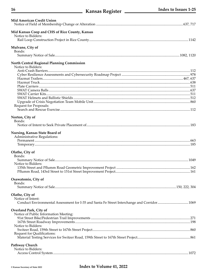| Mid American Credit Union                                                                   |  |
|---------------------------------------------------------------------------------------------|--|
| Mid Kansas Coop and CHS of Rice County, Kansas<br>Notice to Bidders:                        |  |
| Mulvane, City of<br>Bonds:                                                                  |  |
|                                                                                             |  |
| <b>North Central Regional Planning Commission</b><br>Notice to Bidders:                     |  |
|                                                                                             |  |
|                                                                                             |  |
|                                                                                             |  |
|                                                                                             |  |
|                                                                                             |  |
|                                                                                             |  |
|                                                                                             |  |
| Request for Proposals:                                                                      |  |
|                                                                                             |  |
| Norton, City of<br>Bonds:                                                                   |  |
|                                                                                             |  |
| Nursing, Kansas State Board of<br>Administrative Regulations:                               |  |
|                                                                                             |  |
|                                                                                             |  |
| Olathe, City of<br>Bonds:                                                                   |  |
|                                                                                             |  |
| Notice to Bidders:                                                                          |  |
|                                                                                             |  |
|                                                                                             |  |
| Osawatomie, City of                                                                         |  |
| Bonds:                                                                                      |  |
|                                                                                             |  |
| Olathe, City of                                                                             |  |
| Notice of Intent:                                                                           |  |
| Conduct Environmental Assessment for I-35 and Santa Fe Street Interchange and Corridor 1069 |  |
| Overland Park, City of<br>Notice of Public Information Meeting:                             |  |
|                                                                                             |  |
|                                                                                             |  |
| Notice to Bidders:                                                                          |  |
| Request for Qualifications:                                                                 |  |
|                                                                                             |  |
|                                                                                             |  |
| <b>Pathway Church</b>                                                                       |  |
| Notice to Bidders:                                                                          |  |
|                                                                                             |  |

16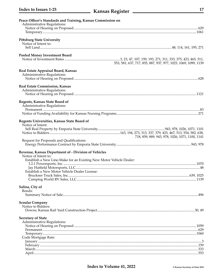| Peace Officer's Standards and Training, Kansas Commission on        |                                                                |
|---------------------------------------------------------------------|----------------------------------------------------------------|
| Administrative Regulations:                                         |                                                                |
|                                                                     |                                                                |
|                                                                     |                                                                |
| <b>Pittsburg State University</b>                                   |                                                                |
| Notice of Intent to:                                                |                                                                |
|                                                                     |                                                                |
|                                                                     |                                                                |
| <b>Pooled Money Investment Board</b>                                |                                                                |
|                                                                     |                                                                |
|                                                                     | 553, 581, 637, 717, 855, 887, 937, 977, 1025, 1069, 1099, 1139 |
| Real Estate Appraisal Board, Kansas                                 |                                                                |
| Administrative Regulations:                                         |                                                                |
|                                                                     |                                                                |
|                                                                     |                                                                |
| Real Estate Commission, Kansas                                      |                                                                |
| Administrative Regulations:                                         |                                                                |
|                                                                     |                                                                |
| Regents, Kansas State Board of                                      |                                                                |
| Administrative Regulations:                                         |                                                                |
|                                                                     |                                                                |
|                                                                     |                                                                |
|                                                                     |                                                                |
| Regents Universities, Kansas State Board of                         |                                                                |
| Notice of Intent:                                                   |                                                                |
|                                                                     |                                                                |
|                                                                     | 718, 859, 889, 943, 978, 1026, 1071, 1100, 1141                |
| Request for Proposals and Qualifications:                           |                                                                |
|                                                                     |                                                                |
|                                                                     |                                                                |
| Revenue, Kansas Department of - Division of Vehicles                |                                                                |
| Notice of Intent to:                                                |                                                                |
| Establish a New Line-Make for an Existing New Motor Vehicle Dealer: |                                                                |
|                                                                     |                                                                |
| Establish a New Motor Vehicle Dealer License:                       |                                                                |
|                                                                     |                                                                |
|                                                                     |                                                                |
|                                                                     |                                                                |
| Salina, City of                                                     |                                                                |
| Bonds:                                                              |                                                                |
|                                                                     |                                                                |
| <b>Scoular Company</b>                                              |                                                                |
| Notice to Bidders:                                                  |                                                                |
|                                                                     |                                                                |
|                                                                     |                                                                |
| <b>Secretary of State</b>                                           |                                                                |
| Administrative Regulations:                                         |                                                                |
|                                                                     |                                                                |
|                                                                     |                                                                |
| Code Mortgage Rate:                                                 |                                                                |
|                                                                     |                                                                |
|                                                                     |                                                                |
|                                                                     |                                                                |
|                                                                     |                                                                |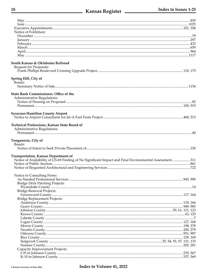| Notice of Forfeiture:                                                                                   |  |
|---------------------------------------------------------------------------------------------------------|--|
|                                                                                                         |  |
|                                                                                                         |  |
|                                                                                                         |  |
|                                                                                                         |  |
|                                                                                                         |  |
|                                                                                                         |  |
| South Kansas & Oklahoma Railroad<br>Request for Proposals:                                              |  |
|                                                                                                         |  |
| Spring Hill, City of<br>Bonds:                                                                          |  |
|                                                                                                         |  |
| State Bank Commissioner, Office of the<br>Administrative Regulations:                                   |  |
|                                                                                                         |  |
|                                                                                                         |  |
|                                                                                                         |  |
| <b>Syracuse-Hamilton County Airport</b>                                                                 |  |
|                                                                                                         |  |
| Technical Professions, Kansas State Board of<br>Administrative Regulations:                             |  |
|                                                                                                         |  |
|                                                                                                         |  |
|                                                                                                         |  |
| Tonganoxie, City of                                                                                     |  |
| Bonds:                                                                                                  |  |
|                                                                                                         |  |
|                                                                                                         |  |
| <b>Transportation, Kansas Department of</b>                                                             |  |
| Notice of Availability of US-69 Finding of No Significant Impact and Final Environmental Assessment 311 |  |
|                                                                                                         |  |
|                                                                                                         |  |
|                                                                                                         |  |
| Notice to Consulting Firms:                                                                             |  |
|                                                                                                         |  |
| <b>Bridge Deck Patching Projects:</b>                                                                   |  |
|                                                                                                         |  |
| Bridge Removal Projects:                                                                                |  |
|                                                                                                         |  |
| Bridge Replacement Projects:                                                                            |  |
|                                                                                                         |  |
|                                                                                                         |  |
|                                                                                                         |  |
|                                                                                                         |  |
|                                                                                                         |  |
|                                                                                                         |  |
|                                                                                                         |  |
|                                                                                                         |  |
|                                                                                                         |  |
|                                                                                                         |  |
|                                                                                                         |  |
| Capacity Improvement Projects:                                                                          |  |
|                                                                                                         |  |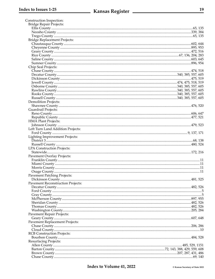| Construction Inspection:                 |  |
|------------------------------------------|--|
| Bridge Repair Projects:                  |  |
|                                          |  |
|                                          |  |
|                                          |  |
| Bridge Replacement Projects:             |  |
|                                          |  |
|                                          |  |
|                                          |  |
|                                          |  |
|                                          |  |
|                                          |  |
| Chip Seal Projects:                      |  |
|                                          |  |
|                                          |  |
|                                          |  |
|                                          |  |
|                                          |  |
|                                          |  |
|                                          |  |
|                                          |  |
| <b>Demolition Projects:</b>              |  |
|                                          |  |
| Guardrail Projects:                      |  |
|                                          |  |
|                                          |  |
| HMA Plant Projects:                      |  |
|                                          |  |
| Left Turn Land Addition Projects:        |  |
|                                          |  |
| Lighting Improvement Projects:           |  |
|                                          |  |
|                                          |  |
| LPA Construction Projects:               |  |
|                                          |  |
| Pavement Overlay Projects:               |  |
|                                          |  |
|                                          |  |
|                                          |  |
|                                          |  |
| <b>Pavement Patching Projects:</b>       |  |
|                                          |  |
| <b>Pavement Reconstruction Projects:</b> |  |
|                                          |  |
|                                          |  |
|                                          |  |
|                                          |  |
|                                          |  |
|                                          |  |
|                                          |  |
| <b>Pavement Repair Projects:</b>         |  |
|                                          |  |
| Pavement Replacement Projects:           |  |
|                                          |  |
|                                          |  |
| <b>RCB Construction Projects:</b>        |  |
|                                          |  |
| <b>Resurfacing Projects:</b>             |  |
|                                          |  |
|                                          |  |
|                                          |  |
|                                          |  |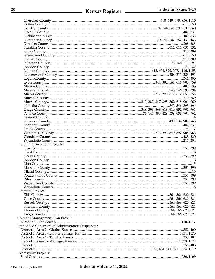| Sign Improvement Projects:                       |  |
|--------------------------------------------------|--|
|                                                  |  |
|                                                  |  |
|                                                  |  |
|                                                  |  |
|                                                  |  |
|                                                  |  |
|                                                  |  |
|                                                  |  |
|                                                  |  |
|                                                  |  |
|                                                  |  |
|                                                  |  |
|                                                  |  |
| <b>Signing Projects:</b>                         |  |
|                                                  |  |
|                                                  |  |
|                                                  |  |
|                                                  |  |
|                                                  |  |
|                                                  |  |
| Corridor Management Plan Project:                |  |
|                                                  |  |
| Embedded Construction Administrators/Inspectors: |  |
|                                                  |  |
|                                                  |  |
|                                                  |  |
|                                                  |  |
|                                                  |  |
|                                                  |  |
| <b>Expressway Projects:</b>                      |  |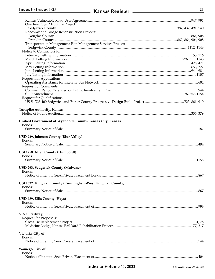## **Nansas Register** Andrew Manuel Manuel Manuel Manuel Manuel Manuel Manuel Manuel Manuel Manuel Manuel Manuel Manuel

| Overhead Sign Structure Project:                            |     |
|-------------------------------------------------------------|-----|
|                                                             |     |
| Roadway and Bridge Reconstruction Projects:                 |     |
|                                                             |     |
|                                                             |     |
| Transportation Management Plan Management Services Project: |     |
|                                                             |     |
| Notice to Contractors for:                                  |     |
|                                                             |     |
|                                                             |     |
|                                                             |     |
|                                                             |     |
|                                                             |     |
|                                                             |     |
| Request for Applications:                                   |     |
| <b>Request for Comments:</b>                                |     |
|                                                             |     |
|                                                             |     |
| Request for Qualifications:                                 |     |
|                                                             |     |
|                                                             |     |
| <b>Turnpike Authority, Kansas</b>                           |     |
|                                                             |     |
|                                                             |     |
| Unified Government of Wyandotte County/Kansas City, Kansas  |     |
| Bonds:                                                      |     |
|                                                             |     |
|                                                             |     |
| USD 229, Johnson County (Blue Valley)                       |     |
| Bonds:                                                      |     |
|                                                             |     |
|                                                             |     |
| USD 258, Allen County (Humboldt)                            |     |
| Bonds:                                                      |     |
|                                                             |     |
|                                                             |     |
| USD 263, Sedgwick County (Mulvane)                          |     |
| Bonds:                                                      |     |
|                                                             | 867 |
|                                                             |     |
| USD 332, Kingman County (Cunningham-West Kingman County)    |     |
| Bonds:                                                      |     |
|                                                             |     |
|                                                             |     |
| USD 489, Ellis County (Hays)                                |     |
| Bonds:                                                      |     |
|                                                             |     |
|                                                             |     |
| V & S Railway, LLC                                          |     |
| Request for Proposals:                                      |     |
|                                                             |     |
|                                                             |     |
| Victoria, City of                                           |     |
| Bonds:                                                      |     |
|                                                             |     |
|                                                             |     |
| Wamego, City of                                             |     |
| Bonds:                                                      |     |
|                                                             |     |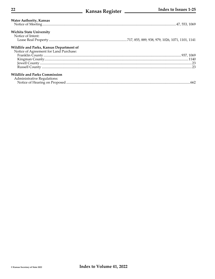| <b>Water Authority, Kansas</b>                                                     |      |
|------------------------------------------------------------------------------------|------|
| <b>Wichita State University</b><br>Notice of Intent:                               |      |
| Wildlife and Parks, Kansas Department of<br>Notice of Agreement for Land Purchase: |      |
|                                                                                    |      |
|                                                                                    |      |
|                                                                                    |      |
|                                                                                    |      |
| <b>Wildlife and Parks Commission</b><br>Administrative Regulations:                |      |
|                                                                                    | .662 |